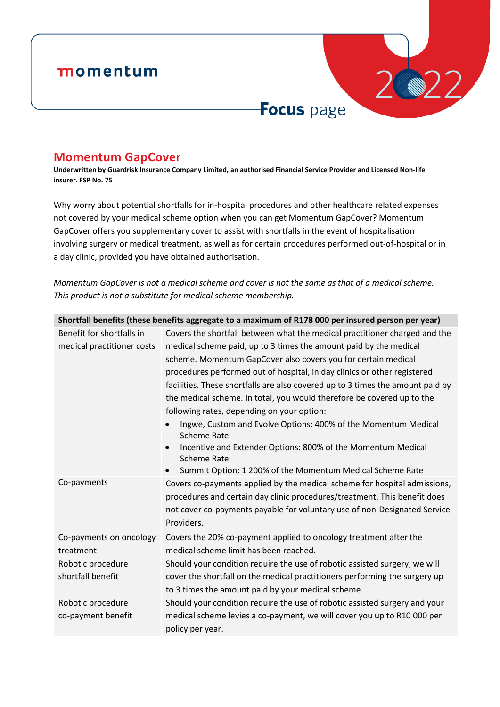## momentum

# Focus page

2022

### **Momentum GapCover**

**Underwritten by Guardrisk Insurance Company Limited, an authorised Financial Service Provider and Licensed Non-life insurer. FSP No. 75**

Why worry about potential shortfalls for in-hospital procedures and other healthcare related expenses not covered by your medical scheme option when you can get Momentum GapCover? Momentum GapCover offers you supplementary cover to assist with shortfalls in the event of hospitalisation involving surgery or medical treatment, as well as for certain procedures performed out-of-hospital or in a day clinic, provided you have obtained authorisation.

*Momentum GapCover is not a medical scheme and cover is not the same as that of a medical scheme. This product is not a substitute for medical scheme membership.*

| Shortfall benefits (these benefits aggregate to a maximum of R178 000 per insured person per year) |                                                                                             |  |  |
|----------------------------------------------------------------------------------------------------|---------------------------------------------------------------------------------------------|--|--|
| Benefit for shortfalls in                                                                          | Covers the shortfall between what the medical practitioner charged and the                  |  |  |
| medical practitioner costs                                                                         | medical scheme paid, up to 3 times the amount paid by the medical                           |  |  |
|                                                                                                    | scheme. Momentum GapCover also covers you for certain medical                               |  |  |
|                                                                                                    | procedures performed out of hospital, in day clinics or other registered                    |  |  |
|                                                                                                    | facilities. These shortfalls are also covered up to 3 times the amount paid by              |  |  |
|                                                                                                    | the medical scheme. In total, you would therefore be covered up to the                      |  |  |
|                                                                                                    | following rates, depending on your option:                                                  |  |  |
|                                                                                                    | Ingwe, Custom and Evolve Options: 400% of the Momentum Medical<br><b>Scheme Rate</b>        |  |  |
|                                                                                                    | Incentive and Extender Options: 800% of the Momentum Medical<br><b>Scheme Rate</b>          |  |  |
|                                                                                                    | Summit Option: 1 200% of the Momentum Medical Scheme Rate                                   |  |  |
| Co-payments                                                                                        | Covers co-payments applied by the medical scheme for hospital admissions,                   |  |  |
|                                                                                                    | procedures and certain day clinic procedures/treatment. This benefit does                   |  |  |
|                                                                                                    | not cover co-payments payable for voluntary use of non-Designated Service<br>Providers.     |  |  |
| Co-payments on oncology                                                                            | Covers the 20% co-payment applied to oncology treatment after the                           |  |  |
| treatment                                                                                          | medical scheme limit has been reached.                                                      |  |  |
| Robotic procedure                                                                                  | Should your condition require the use of robotic assisted surgery, we will                  |  |  |
| shortfall benefit                                                                                  | cover the shortfall on the medical practitioners performing the surgery up                  |  |  |
|                                                                                                    | to 3 times the amount paid by your medical scheme.                                          |  |  |
| Robotic procedure                                                                                  | Should your condition require the use of robotic assisted surgery and your                  |  |  |
| co-payment benefit                                                                                 | medical scheme levies a co-payment, we will cover you up to R10 000 per<br>policy per year. |  |  |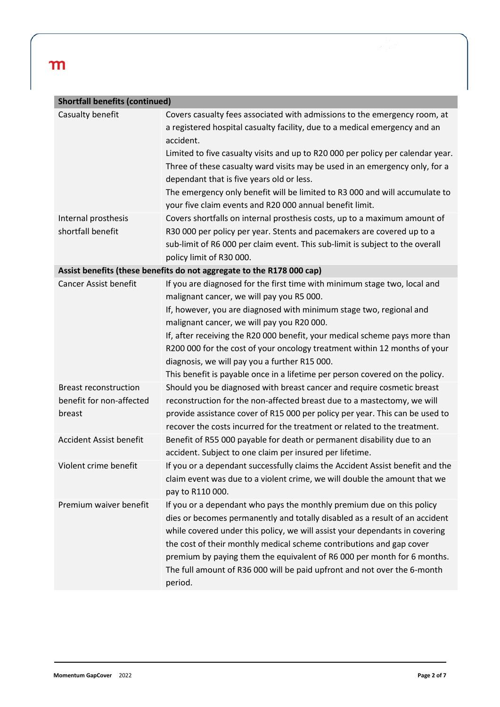| <b>Shortfall benefits (continued)</b>                                 |                                                                                                                                                                                                                                                                                                                                                                                                                                                                                                                                          |  |  |  |
|-----------------------------------------------------------------------|------------------------------------------------------------------------------------------------------------------------------------------------------------------------------------------------------------------------------------------------------------------------------------------------------------------------------------------------------------------------------------------------------------------------------------------------------------------------------------------------------------------------------------------|--|--|--|
| Casualty benefit                                                      | Covers casualty fees associated with admissions to the emergency room, at<br>a registered hospital casualty facility, due to a medical emergency and an<br>accident.<br>Limited to five casualty visits and up to R20 000 per policy per calendar year.<br>Three of these casualty ward visits may be used in an emergency only, for a                                                                                                                                                                                                   |  |  |  |
|                                                                       | dependant that is five years old or less.<br>The emergency only benefit will be limited to R3 000 and will accumulate to<br>your five claim events and R20 000 annual benefit limit.                                                                                                                                                                                                                                                                                                                                                     |  |  |  |
| Internal prosthesis<br>shortfall benefit                              | Covers shortfalls on internal prosthesis costs, up to a maximum amount of<br>R30 000 per policy per year. Stents and pacemakers are covered up to a<br>sub-limit of R6 000 per claim event. This sub-limit is subject to the overall<br>policy limit of R30 000.                                                                                                                                                                                                                                                                         |  |  |  |
| Assist benefits (these benefits do not aggregate to the R178 000 cap) |                                                                                                                                                                                                                                                                                                                                                                                                                                                                                                                                          |  |  |  |
| <b>Cancer Assist benefit</b>                                          | If you are diagnosed for the first time with minimum stage two, local and<br>malignant cancer, we will pay you R5 000.<br>If, however, you are diagnosed with minimum stage two, regional and<br>malignant cancer, we will pay you R20 000.<br>If, after receiving the R20 000 benefit, your medical scheme pays more than<br>R200 000 for the cost of your oncology treatment within 12 months of your<br>diagnosis, we will pay you a further R15 000.<br>This benefit is payable once in a lifetime per person covered on the policy. |  |  |  |
| <b>Breast reconstruction</b><br>benefit for non-affected<br>breast    | Should you be diagnosed with breast cancer and require cosmetic breast<br>reconstruction for the non-affected breast due to a mastectomy, we will<br>provide assistance cover of R15 000 per policy per year. This can be used to<br>recover the costs incurred for the treatment or related to the treatment.                                                                                                                                                                                                                           |  |  |  |
| Accident Assist benefit                                               | Benefit of R55 000 payable for death or permanent disability due to an<br>accident. Subject to one claim per insured per lifetime.                                                                                                                                                                                                                                                                                                                                                                                                       |  |  |  |
| Violent crime benefit                                                 | If you or a dependant successfully claims the Accident Assist benefit and the<br>claim event was due to a violent crime, we will double the amount that we<br>pay to R110 000.                                                                                                                                                                                                                                                                                                                                                           |  |  |  |
| Premium waiver benefit                                                | If you or a dependant who pays the monthly premium due on this policy<br>dies or becomes permanently and totally disabled as a result of an accident<br>while covered under this policy, we will assist your dependants in covering<br>the cost of their monthly medical scheme contributions and gap cover<br>premium by paying them the equivalent of R6 000 per month for 6 months.<br>The full amount of R36 000 will be paid upfront and not over the 6-month<br>period.                                                            |  |  |  |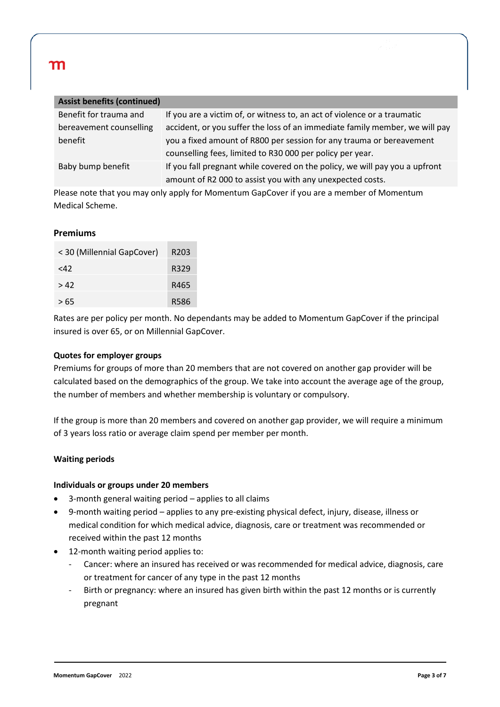| <b>Assist benefits (continued)</b> |                                                                             |
|------------------------------------|-----------------------------------------------------------------------------|
| Benefit for trauma and             | If you are a victim of, or witness to, an act of violence or a traumatic    |
| bereavement counselling            | accident, or you suffer the loss of an immediate family member, we will pay |
| benefit                            | you a fixed amount of R800 per session for any trauma or bereavement        |
|                                    | counselling fees, limited to R30 000 per policy per year.                   |
| Baby bump benefit                  | If you fall pregnant while covered on the policy, we will pay you a upfront |
|                                    | amount of R2 000 to assist you with any unexpected costs.                   |

Please note that you may only apply for Momentum GapCover if you are a member of Momentum Medical Scheme.

#### **Premiums**

| < 30 (Millennial GapCover) | R <sub>203</sub> |
|----------------------------|------------------|
| <42                        | R329             |
| >42                        | R465             |
| >65                        | R586             |

Rates are per policy per month. No dependants may be added to Momentum GapCover if the principal insured is over 65, or on Millennial GapCover.

#### **Quotes for employer groups**

Premiums for groups of more than 20 members that are not covered on another gap provider will be calculated based on the demographics of the group. We take into account the average age of the group, the number of members and whether membership is voluntary or compulsory.

If the group is more than 20 members and covered on another gap provider, we will require a minimum of 3 years loss ratio or average claim spend per member per month.

#### **Waiting periods**

#### **Individuals or groups under 20 members**

- 3-month general waiting period applies to all claims
- 9-month waiting period applies to any pre-existing physical defect, injury, disease, illness or medical condition for which medical advice, diagnosis, care or treatment was recommended or received within the past 12 months
- 12-month waiting period applies to:
	- Cancer: where an insured has received or was recommended for medical advice, diagnosis, care or treatment for cancer of any type in the past 12 months
	- Birth or pregnancy: where an insured has given birth within the past 12 months or is currently pregnant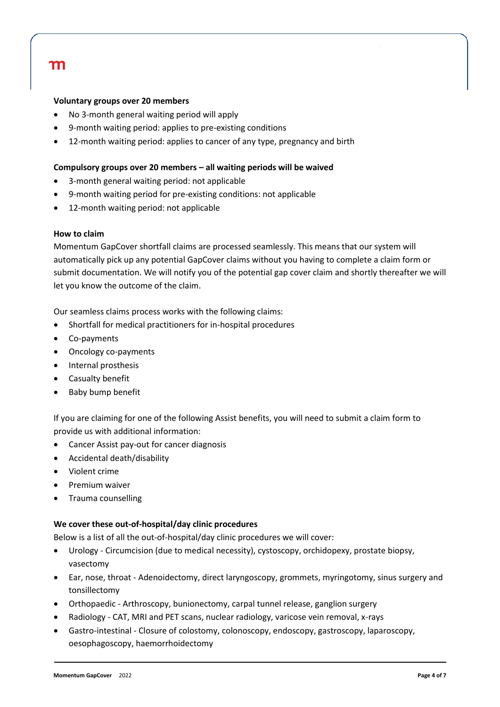#### **Voluntary groups over 20 members**

- No 3-month general waiting period will apply
- 9-month waiting period: applies to pre-existing conditions
- 12-month waiting period: applies to cancer of any type, pregnancy and birth

#### **Compulsory groups over 20 members – all waiting periods will be waived**

- 3-month general waiting period: not applicable
- 9-month waiting period for pre-existing conditions: not applicable
- 12-month waiting period: not applicable

#### **How to claim**

Momentum GapCover shortfall claims are processed seamlessly. This means that our system will automatically pick up any potential GapCover claims without you having to complete a claim form or submit documentation. We will notify you of the potential gap cover claim and shortly thereafter we will let you know the outcome of the claim.

Our seamless claims process works with the following claims:

- Shortfall for medical practitioners for in-hospital procedures
- Co-payments
- Oncology co-payments
- Internal prosthesis
- Casualty benefit
- Baby bump benefit

If you are claiming for one of the following Assist benefits, you will need to submit a claim form to provide us with additional information:

- Cancer Assist pay-out for cancer diagnosis
- Accidental death/disability
- Violent crime
- Premium waiver
- Trauma counselling

#### **We cover these out-of-hospital/day clinic procedures**

Below is a list of all the out-of-hospital/day clinic procedures we will cover:

- Urology Circumcision (due to medical necessity), cystoscopy, orchidopexy, prostate biopsy, vasectomy
- Ear, nose, throat Adenoidectomy, direct laryngoscopy, grommets, myringotomy, sinus surgery and tonsillectomy
- Orthopaedic Arthroscopy, bunionectomy, carpal tunnel release, ganglion surgery
- Radiology CAT, MRI and PET scans, nuclear radiology, varicose vein removal, x-rays
- Gastro-intestinal Closure of colostomy, colonoscopy, endoscopy, gastroscopy, laparoscopy, oesophagoscopy, haemorrhoidectomy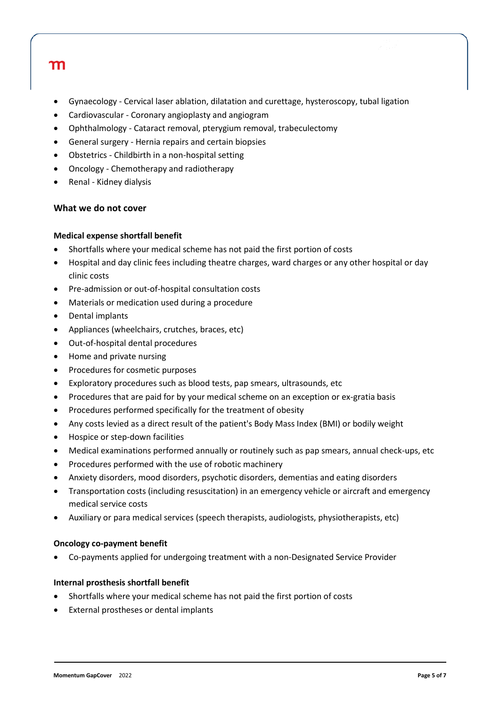- Gynaecology Cervical laser ablation, dilatation and curettage, hysteroscopy, tubal ligation
- Cardiovascular Coronary angioplasty and angiogram
- Ophthalmology Cataract removal, pterygium removal, trabeculectomy
- General surgery Hernia repairs and certain biopsies
- Obstetrics Childbirth in a non-hospital setting
- Oncology Chemotherapy and radiotherapy
- Renal Kidney dialysis

#### **What we do not cover**

#### **Medical expense shortfall benefit**

- Shortfalls where your medical scheme has not paid the first portion of costs
- Hospital and day clinic fees including theatre charges, ward charges or any other hospital or day clinic costs
- Pre-admission or out-of-hospital consultation costs
- Materials or medication used during a procedure
- Dental implants
- Appliances (wheelchairs, crutches, braces, etc)
- Out-of-hospital dental procedures
- Home and private nursing
- Procedures for cosmetic purposes
- Exploratory procedures such as blood tests, pap smears, ultrasounds, etc
- Procedures that are paid for by your medical scheme on an exception or ex-gratia basis
- Procedures performed specifically for the treatment of obesity
- Any costs levied as a direct result of the patient's Body Mass Index (BMI) or bodily weight
- Hospice or step-down facilities
- Medical examinations performed annually or routinely such as pap smears, annual check-ups, etc
- Procedures performed with the use of robotic machinery
- Anxiety disorders, mood disorders, psychotic disorders, dementias and eating disorders
- Transportation costs (including resuscitation) in an emergency vehicle or aircraft and emergency medical service costs
- Auxiliary or para medical services (speech therapists, audiologists, physiotherapists, etc)

#### **Oncology co-payment benefit**

• Co-payments applied for undergoing treatment with a non-Designated Service Provider

#### **Internal prosthesis shortfall benefit**

- Shortfalls where your medical scheme has not paid the first portion of costs
- External prostheses or dental implants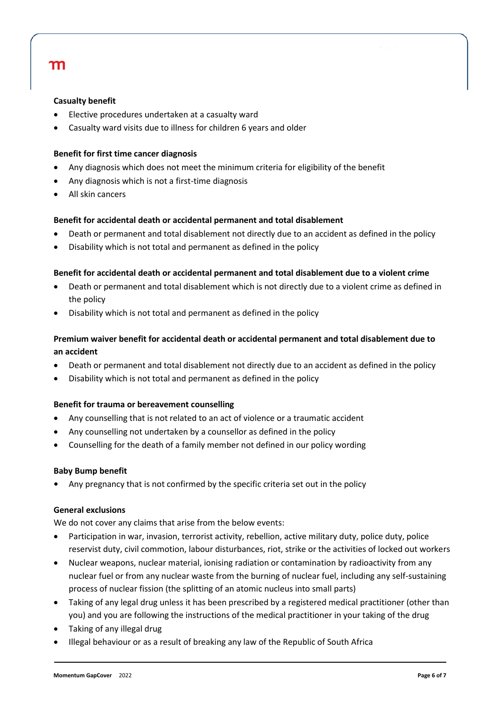#### **Casualty benefit**

- Elective procedures undertaken at a casualty ward
- Casualty ward visits due to illness for children 6 years and older

#### **Benefit for first time cancer diagnosis**

- Any diagnosis which does not meet the minimum criteria for eligibility of the benefit
- Any diagnosis which is not a first-time diagnosis
- All skin cancers

#### **Benefit for accidental death or accidental permanent and total disablement**

- Death or permanent and total disablement not directly due to an accident as defined in the policy
- Disability which is not total and permanent as defined in the policy

#### **Benefit for accidental death or accidental permanent and total disablement due to a violent crime**

- Death or permanent and total disablement which is not directly due to a violent crime as defined in the policy
- Disability which is not total and permanent as defined in the policy

#### **Premium waiver benefit for accidental death or accidental permanent and total disablement due to an accident**

- Death or permanent and total disablement not directly due to an accident as defined in the policy
- Disability which is not total and permanent as defined in the policy

#### **Benefit for trauma or bereavement counselling**

- Any counselling that is not related to an act of violence or a traumatic accident
- Any counselling not undertaken by a counsellor as defined in the policy
- Counselling for the death of a family member not defined in our policy wording

#### **Baby Bump benefit**

**•** Any pregnancy that is not confirmed by the specific criteria set out in the policy

#### **General exclusions**

We do not cover any claims that arise from the below events:

- Participation in war, invasion, terrorist activity, rebellion, active military duty, police duty, police reservist duty, civil commotion, labour disturbances, riot, strike or the activities of locked out workers
- Nuclear weapons, nuclear material, ionising radiation or contamination by radioactivity from any nuclear fuel or from any nuclear waste from the burning of nuclear fuel, including any self-sustaining process of nuclear fission (the splitting of an atomic nucleus into small parts)
- Taking of any legal drug unless it has been prescribed by a registered medical practitioner (other than you) and you are following the instructions of the medical practitioner in your taking of the drug
- Taking of any illegal drug
- Illegal behaviour or as a result of breaking any law of the Republic of South Africa